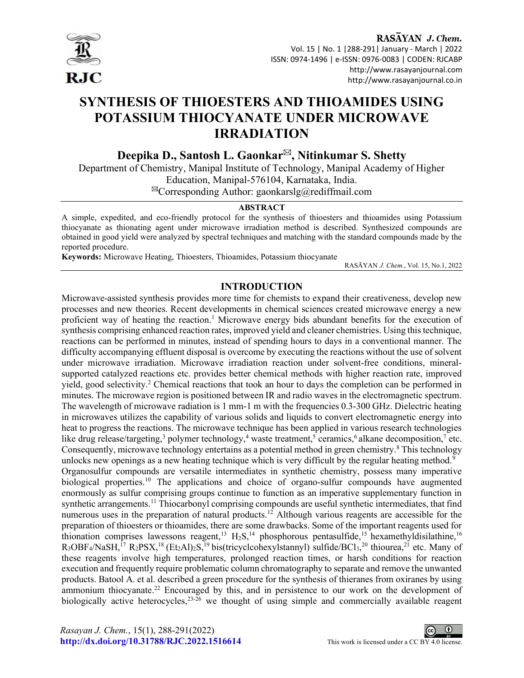

RASAYAN J. Chem. Vol. 15 | No. 1 |288-291| January - March | 2022 ISSN: 0974-1496 | e-ISSN: 0976-0083 | CODEN: RJCABP http://www.rasayanjournal.com http://www.rasayanjournal.co.in

# SYNTHESIS OF THIOESTERS AND THIOAMIDES USING POTASSIUM THIOCYANATE UNDER MICROWAVE IRRADIATION

Deepika D., Santosh L. Gaonkar<sup> $\boxtimes$ </sup>, Nitinkumar S. Shetty

Department of Chemistry, Manipal Institute of Technology, Manipal Academy of Higher Education, Manipal-576104, Karnataka, India.  $^{\boxtimes}$ Corresponding Author: gaonkarslg@rediffmail.com

#### ABSTRACT

A simple, expedited, and eco-friendly protocol for the synthesis of thioesters and thioamides using Potassium thiocyanate as thionating agent under microwave irradiation method is described. Synthesized compounds are obtained in good yield were analyzed by spectral techniques and matching with the standard compounds made by the reported procedure.

Keywords: Microwave Heating, Thioesters, Thioamides, Potassium thiocyanate

RASĀYAN J. Chem., Vol. 15, No.1, 2022

## INTRODUCTION

Microwave-assisted synthesis provides more time for chemists to expand their creativeness, develop new processes and new theories. Recent developments in chemical sciences created microwave energy a new proficient way of heating the reaction.<sup>1</sup> Microwave energy bids abundant benefits for the execution of synthesis comprising enhanced reaction rates, improved yield and cleaner chemistries. Using this technique, reactions can be performed in minutes, instead of spending hours to days in a conventional manner. The difficulty accompanying effluent disposal is overcome by executing the reactions without the use of solvent under microwave irradiation. Microwave irradiation reaction under solvent-free conditions, mineralsupported catalyzed reactions etc. provides better chemical methods with higher reaction rate, improved yield, good selectivity.<sup>2</sup> Chemical reactions that took an hour to days the completion can be performed in minutes. The microwave region is positioned between IR and radio waves in the electromagnetic spectrum. The wavelength of microwave radiation is 1 mm-1 m with the frequencies 0.3-300 GHz. Dielectric heating in microwaves utilizes the capability of various solids and liquids to convert electromagnetic energy into heat to progress the reactions. The microwave technique has been applied in various research technologies like drug release/targeting,<sup>3</sup> polymer technology,<sup>4</sup> waste treatment,<sup>5</sup> ceramics,<sup>6</sup> alkane decomposition,<sup>7</sup> etc. Consequently, microwave technology entertains as a potential method in green chemistry.<sup>8</sup> This technology unlocks new openings as a new heating technique which is very difficult by the regular heating method.<sup>9</sup> Organosulfur compounds are versatile intermediates in synthetic chemistry, possess many imperative biological properties.<sup>10</sup> The applications and choice of organo-sulfur compounds have augmented enormously as sulfur comprising groups continue to function as an imperative supplementary function in synthetic arrangements.<sup>11</sup> Thiocarbonyl comprising compounds are useful synthetic intermediates, that find numerous uses in the preparation of natural products.<sup>12</sup> Although various reagents are accessible for the preparation of thioesters or thioamides, there are some drawbacks. Some of the important reagents used for thionation comprises lawessons reagent,<sup>13</sup> H<sub>2</sub>S,<sup>14</sup> phosphorous pentasulfide,<sup>15</sup> hexamethyldisilathine,<sup>16</sup>  $R_3$ OBF<sub>4</sub>/NaSH,<sup>17</sup>  $R_2$ PSX,<sup>18</sup> (Et<sub>2</sub>Al)<sub>2</sub>S,<sup>19</sup> bis(tricyclcohexylstannyl) sulfide/BCl<sub>3</sub>,<sup>20</sup> thiourea,<sup>21</sup> etc. Many of these reagents involve high temperatures, prolonged reaction times, or harsh conditions for reaction execution and frequently require problematic column chromatography to separate and remove the unwanted products. Batool A. et al. described a green procedure for the synthesis of thieranes from oxiranes by using ammonium thiocyanate.<sup>22</sup> Encouraged by this, and in persistence to our work on the development of biologically active heterocycles,<sup>23-26</sup> we thought of using simple and commercially available reagent

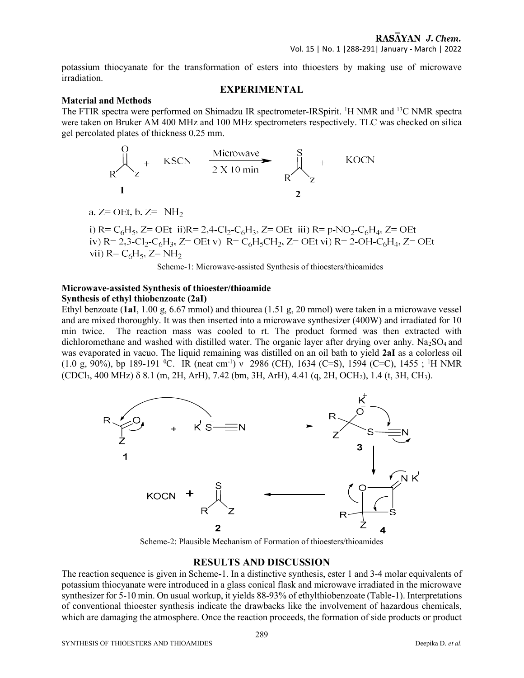potassium thiocyanate for the transformation of esters into thioesters by making use of microwave irradiation.

## EXPERIMENTAL

### Material and Methods

The FTIR spectra were performed on Shimadzu IR spectrometer-IRSpirit. <sup>1</sup>H NMR and <sup>13</sup>C NMR spectra were taken on Bruker AM 400 MHz and 100 MHz spectrometers respectively. TLC was checked on silica gel percolated plates of thickness 0.25 mm.

$$
R\begin{matrix}\n0 \\
2\n\end{matrix} + \begin{matrix} \text{KSCN} & \frac{\text{Microwave}}{2 \times 10 \text{ min}} \\
1\n\end{matrix} + \begin{matrix} \text{KOCN} \\ \text{R} \end{matrix}
$$

a. 
$$
Z =
$$
 OEt, b.  $Z = NH_2$ 

Scheme-1: Microwave-assisted Synthesis of thioesters/thioamides

## Microwave-assisted Synthesis of thioester/thioamide Synthesis of ethyl thiobenzoate (2aI)

Ethyl benzoate (1aI, 1.00 g, 6.67 mmol) and thiourea (1.51 g, 20 mmol) were taken in a microwave vessel and are mixed thoroughly. It was then inserted into a microwave synthesizer (400W) and irradiated for 10 min twice. The reaction mass was cooled to rt. The product formed was then extracted with dichloromethane and washed with distilled water. The organic layer after drying over anhy. Na<sub>2</sub>SO<sub>4</sub> and was evaporated in vacuo. The liquid remaining was distilled on an oil bath to yield 2aI as a colorless oil (1.0 g, 90%), bp 189-191 <sup>o</sup>C. IR (neat cm<sup>-1</sup>) v 2986 (CH), 1634 (C=S), 1594 (C=C), 1455; <sup>1</sup>H NMR  $(CDCI<sub>3</sub>, 400 MHz)$   $\delta$  8.1 (m, 2H, ArH), 7.42 (bm, 3H, ArH), 4.41 (g, 2H, OCH<sub>2</sub>), 1.4 (t, 3H, CH<sub>3</sub>).



Scheme-2: Plausible Mechanism of Formation of thioesters/thioamides

### RESULTS AND DISCUSSION

The reaction sequence is given in Scheme-1. In a distinctive synthesis, ester 1 and 3-4 molar equivalents of potassium thiocyanate were introduced in a glass conical flask and microwave irradiated in the microwave synthesizer for 5-10 min. On usual workup, it yields 88-93% of ethylthiobenzoate (Table-1). Interpretations of conventional thioester synthesis indicate the drawbacks like the involvement of hazardous chemicals, which are damaging the atmosphere. Once the reaction proceeds, the formation of side products or product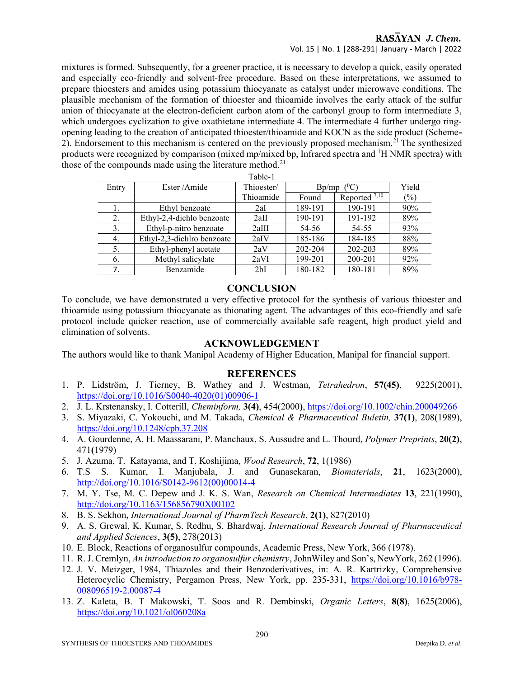## RASAYAN J. Chem. Vol. 15 | No. 1 |288-291| January - March | 2022

mixtures is formed. Subsequently, for a greener practice, it is necessary to develop a quick, easily operated and especially eco-friendly and solvent-free procedure. Based on these interpretations, we assumed to prepare thioesters and amides using potassium thiocyanate as catalyst under microwave conditions. The plausible mechanism of the formation of thioester and thioamide involves the early attack of the sulfur anion of thiocyanate at the electron-deficient carbon atom of the carbonyl group to form intermediate 3, which undergoes cyclization to give oxathietane intermediate 4. The intermediate 4 further undergo ringopening leading to the creation of anticipated thioester/thioamide and KOCN as the side product (Scheme-2). Endorsement to this mechanism is centered on the previously proposed mechanism.<sup>21</sup> The synthesized products were recognized by comparison (mixed mp/mixed bp, Infrared spectra and <sup>1</sup>H NMR spectra) with those of the compounds made using the literature method.<sup>21</sup>

| Table-1 |                            |            |                    |                          |       |
|---------|----------------------------|------------|--------------------|--------------------------|-------|
| Entry   | Ester/Amide                | Thioester/ | $\ell^0C$<br>Bp/mp |                          | Yield |
|         |                            | Thioamide  | Found              | Reported <sup>7,10</sup> | (%)   |
| 1.      | Ethyl benzoate             | 2aI        | 189-191            | 190-191                  | 90%   |
| 2.      | Ethyl-2,4-dichlo benzoate  | 2aII       | 190-191            | 191-192                  | 89%   |
| 3.      | Ethyl-p-nitro benzoate     | 2aIII      | 54-56              | 54-55                    | 93%   |
| 4.      | Ethyl-2,3-dichlro benzoate | 2aIV       | 185-186            | 184-185                  | 88%   |
| 5.      | Ethyl-phenyl acetate       | 2aV        | 202-204            | 202-203                  | 89%   |
| 6.      | Methyl salicylate          | 2aVI       | 199-201            | 200-201                  | 92%   |
| 7.      | Benzamide                  | 2bI        | 180-182            | 180-181                  | 89%   |

## **CONCLUSION**

To conclude, we have demonstrated a very effective protocol for the synthesis of various thioester and thioamide using potassium thiocyanate as thionating agent. The advantages of this eco-friendly and safe protocol include quicker reaction, use of commercially available safe reagent, high product yield and elimination of solvents.

## ACKNOWLEDGEMENT

The authors would like to thank Manipal Academy of Higher Education, Manipal for financial support.

## **REFERENCES**

- 1. P. Lidström, J. Tierney, B. Wathey and J. Westman, Tetrahedron, 57(45), 9225(2001), https://doi.org/10.1016/S0040-4020(01)00906-1
- 2. J. L. Krstenansky, I. Cotterill, Cheminform, 3(4), 454(2000), https://doi.org/10.1002/chin.200049266
- 3. S. Miyazaki, C. Yokouchi, and M. Takada, Chemical & Pharmaceutical Buletin, 37(1), 208(1989), https://doi.org/10.1248/cpb.37.208
- 4. A. Gourdenne, A. H. Maassarani, P. Manchaux, S. Aussudre and L. Thourd, Polymer Preprints, 20(2), 471(1979)
- 5. J. Azuma, T. Katayama, and T. Koshijima, Wood Research, 72, 1(1986)
- 6. T.S S. Kumar, I. Manjubala, J. and Gunasekaran, Biomaterials, 21, 1623(2000), http://doi.org/10.1016/S0142-9612(00)00014-4
- 7. M. Y. Tse, M. C. Depew and J. K. S. Wan, Research on Chemical Intermediates 13, 221(1990), http://doi.org/10.1163/156856790X00102
- 8. B. S. Sekhon, International Journal of PharmTech Research, 2(1), 827(2010)
- 9. A. S. Grewal, K. Kumar, S. Redhu, S. Bhardwaj, International Research Journal of Pharmaceutical and Applied Sciences,  $3(5)$ ,  $278(2013)$
- 10. E. Block, Reactions of organosulfur compounds, Academic Press, New York, 366 (1978).
- 11. R. J. Cremlyn, An introduction to organosulfur chemistry, JohnWiley and Son's, NewYork, 262 (1996).
- 12. J. V. Meizger, 1984, Thiazoles and their Benzoderivatives, in: A. R. Kartrizky, Comprehensive Heterocyclic Chemistry, Pergamon Press, New York, pp. 235-331, https://doi.org/10.1016/b978- 008096519-2.00087-4
- 13. Z. Kaleta, B. T Makowski, T. Soos and R. Dembinski, Organic Letters, 8(8), 1625(2006), https://doi.org/10.1021/ol060208a